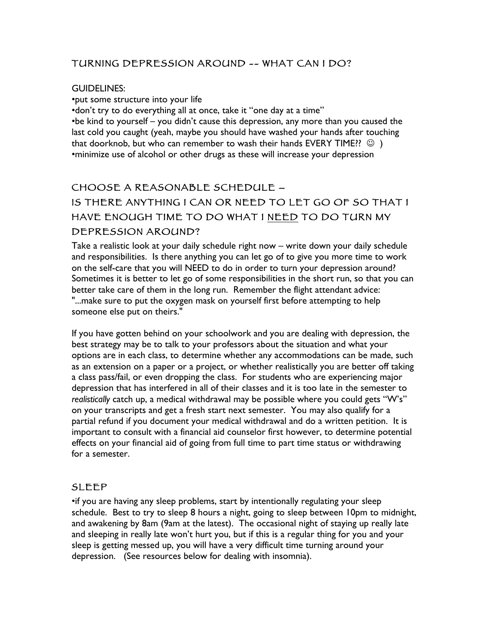#### TURNING DEPRESSION AROUND -- WHAT CAN I DO?

#### GUIDELINES:

•put some structure into your life

•don't try to do everything all at once, take it "one day at a time" •be kind to yourself – you didn't cause this depression, any more than you caused the last cold you caught (yeah, maybe you should have washed your hands after touching that doorknob, but who can remember to wash their hands EVERY TIME??  $\circledcirc$  ) •minimize use of alcohol or other drugs as these will increase your depression

## CHOOSE A REASONABLE SCHEDULE –

# IS THERE ANYTHING I CAN OR NEED TO LET GO OF SO THAT I HAVE ENOUGH TIME TO DO WHAT I NEED TO DO TURN MY DEPRESSION AROUND?

Take a realistic look at your daily schedule right now – write down your daily schedule and responsibilities. Is there anything you can let go of to give you more time to work on the self-care that you will NEED to do in order to turn your depression around? Sometimes it is better to let go of some responsibilities in the short run, so that you can better take care of them in the long run. Remember the flight attendant advice: "...make sure to put the oxygen mask on yourself first before attempting to help someone else put on theirs."

If you have gotten behind on your schoolwork and you are dealing with depression, the best strategy may be to talk to your professors about the situation and what your options are in each class, to determine whether any accommodations can be made, such as an extension on a paper or a project, or whether realistically you are better off taking a class pass/fail, or even dropping the class. For students who are experiencing major depression that has interfered in all of their classes and it is too late in the semester to *realistically* catch up, a medical withdrawal may be possible where you could gets "W's" on your transcripts and get a fresh start next semester. You may also qualify for a partial refund if you document your medical withdrawal and do a written petition. It is important to consult with a financial aid counselor first however, to determine potential effects on your financial aid of going from full time to part time status or withdrawing for a semester.

#### SLEEP

•if you are having any sleep problems, start by intentionally regulating your sleep schedule. Best to try to sleep 8 hours a night, going to sleep between 10pm to midnight, and awakening by 8am (9am at the latest). The occasional night of staying up really late and sleeping in really late won't hurt you, but if this is a regular thing for you and your sleep is getting messed up, you will have a very difficult time turning around your depression. (See resources below for dealing with insomnia).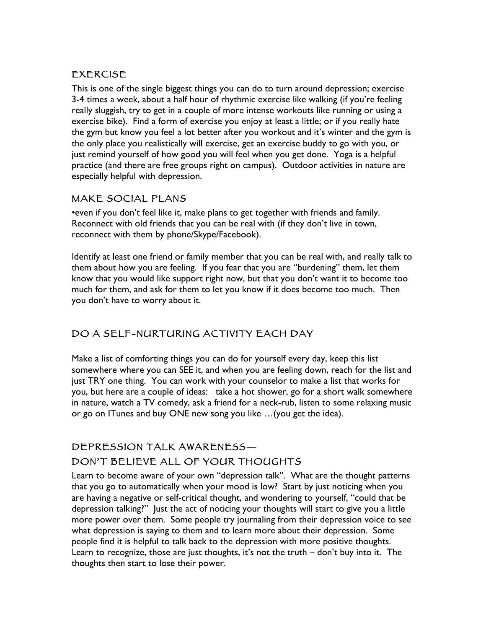#### EXERCISE

This is one of the single biggest things you can do to turn around depression; exercise 3-4 times a week, about a half hour of rhythmic exercise like walking (if you're feeling really sluggish, try to get in a couple of more intense workouts like running or using a exercise bike). Find a form of exercise you enjoy at least a little; or if you really hate the gym but know you feel a lot better after you workout and it's winter and the gym is the only place you realistically will exercise, get an exercise buddy to go with you, or just remind yourself of how good you will feel when you get done. Yoga is a helpful practice (and there are free groups right on campus). Outdoor activities in nature are especially helpful with depression.

#### MAKE SOCIAL PLANS

•even if you don't feel like it, make plans to get together with friends and family. Reconnect with old friends that you can be real with (if they don't live in town, reconnect with them by phone/Skype/Facebook).

Identify at least one friend or family member that you can be real with, and really talk to them about how you are feeling. If you fear that you are "burdening" them, let them know that you would like support right now, but that you don't want it to become too much for them, and ask for them to let you know if it does become too much. Then you don't have to worry about it.

## DO A SELF-NURTURING ACTIVITY EACH DAY

Make a list of comforting things you can do for yourself every day, keep this list somewhere where you can SEE it, and when you are feeling down, reach for the list and just TRY one thing. You can work with your counselor to make a list that works for you, but here are a couple of ideas: take a hot shower, go for a short walk somewhere in nature, watch a TV comedy, ask a friend for a neck-rub, listen to some relaxing music or go on ITunes and buy ONE new song you like …(you get the idea).

## DEPRESSION TALK AWARENESS— DON'T BELIEVE ALL OF YOUR THOUGHTS

Learn to become aware of your own "depression talk". What are the thought patterns that you go to automatically when your mood is low? Start by just noticing when you are having a negative or self-critical thought, and wondering to yourself, "could that be depression talking?" Just the act of noticing your thoughts will start to give you a little more power over them. Some people try journaling from their depression voice to see what depression is saying to them and to learn more about their depression. Some people find it is helpful to talk back to the depression with more positive thoughts. Learn to recognize, those are just thoughts, it's not the truth – don't buy into it. The thoughts then start to lose their power.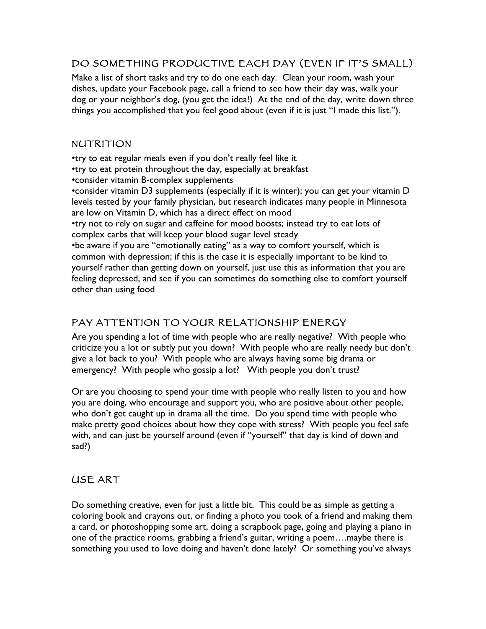### DO SOMETHING PRODUCTIVE EACH DAY (EVEN IF IT'S SMALL)

Make a list of short tasks and try to do one each day. Clean your room, wash your dishes, update your Facebook page, call a friend to see how their day was, walk your dog or your neighbor's dog, (you get the idea!) At the end of the day, write down three things you accomplished that you feel good about (even if it is just "I made this list.").

#### NUTRITION

•try to eat regular meals even if you don't really feel like it •try to eat protein throughout the day, especially at breakfast •consider vitamin B-complex supplements •consider vitamin D3 supplements (especially if it is winter); you can get your vitamin D levels tested by your family physician, but research indicates many people in Minnesota are low on Vitamin D, which has a direct effect on mood •try not to rely on sugar and caffeine for mood boosts; instead try to eat lots of complex carbs that will keep your blood sugar level steady •be aware if you are "emotionally eating" as a way to comfort yourself, which is common with depression; if this is the case it is especially important to be kind to yourself rather than getting down on yourself, just use this as information that you are feeling depressed, and see if you can sometimes do something else to comfort yourself

#### other than using food

#### PAY ATTENTION TO YOUR RELATIONSHIP ENERGY

Are you spending a lot of time with people who are really negative? With people who criticize you a lot or subtly put you down? With people who are really needy but don't give a lot back to you? With people who are always having some big drama or emergency? With people who gossip a lot? With people you don't trust?

Or are you choosing to spend your time with people who really listen to you and how you are doing, who encourage and support you, who are positive about other people, who don't get caught up in drama all the time. Do you spend time with people who make pretty good choices about how they cope with stress? With people you feel safe with, and can just be yourself around (even if "yourself" that day is kind of down and sad?)

#### USE ART

Do something creative, even for just a little bit. This could be as simple as getting a coloring book and crayons out, or finding a photo you took of a friend and making them a card, or photoshopping some art, doing a scrapbook page, going and playing a piano in one of the practice rooms, grabbing a friend's guitar, writing a poem….maybe there is something you used to love doing and haven't done lately? Or something you've always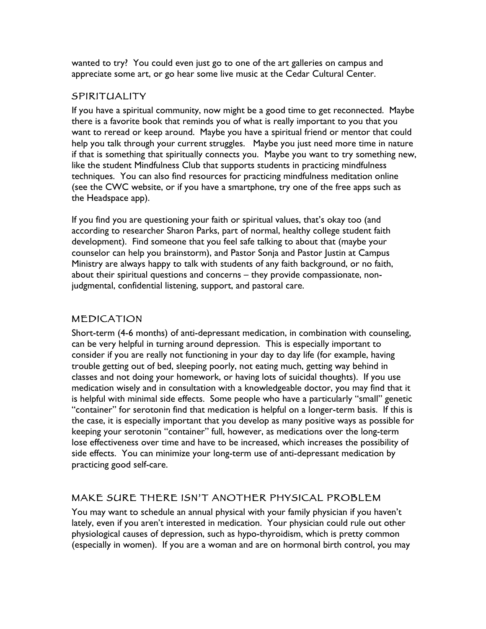wanted to try? You could even just go to one of the art galleries on campus and appreciate some art, or go hear some live music at the Cedar Cultural Center.

#### SPIRITUALITY

If you have a spiritual community, now might be a good time to get reconnected. Maybe there is a favorite book that reminds you of what is really important to you that you want to reread or keep around. Maybe you have a spiritual friend or mentor that could help you talk through your current struggles. Maybe you just need more time in nature if that is something that spiritually connects you. Maybe you want to try something new, like the student Mindfulness Club that supports students in practicing mindfulness techniques. You can also find resources for practicing mindfulness meditation online (see the CWC website, or if you have a smartphone, try one of the free apps such as the Headspace app).

If you find you are questioning your faith or spiritual values, that's okay too (and according to researcher Sharon Parks, part of normal, healthy college student faith development). Find someone that you feel safe talking to about that (maybe your counselor can help you brainstorm), and Pastor Sonja and Pastor Justin at Campus Ministry are always happy to talk with students of any faith background, or no faith, about their spiritual questions and concerns – they provide compassionate, nonjudgmental, confidential listening, support, and pastoral care.

#### MEDICATION

Short-term (4-6 months) of anti-depressant medication, in combination with counseling, can be very helpful in turning around depression. This is especially important to consider if you are really not functioning in your day to day life (for example, having trouble getting out of bed, sleeping poorly, not eating much, getting way behind in classes and not doing your homework, or having lots of suicidal thoughts). If you use medication wisely and in consultation with a knowledgeable doctor, you may find that it is helpful with minimal side effects. Some people who have a particularly "small" genetic "container" for serotonin find that medication is helpful on a longer-term basis. If this is the case, it is especially important that you develop as many positive ways as possible for keeping your serotonin "container" full, however, as medications over the long-term lose effectiveness over time and have to be increased, which increases the possibility of side effects. You can minimize your long-term use of anti-depressant medication by practicing good self-care.

#### MAKE SURE THERE ISN'T ANOTHER PHYSICAL PROBLEM

You may want to schedule an annual physical with your family physician if you haven't lately, even if you aren't interested in medication. Your physician could rule out other physiological causes of depression, such as hypo-thyroidism, which is pretty common (especially in women). If you are a woman and are on hormonal birth control, you may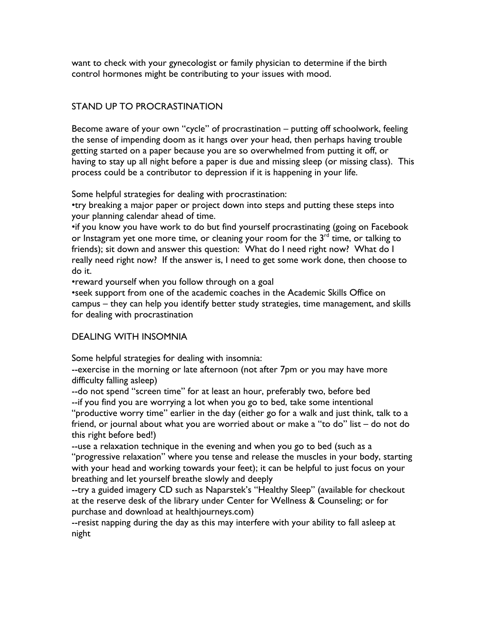want to check with your gynecologist or family physician to determine if the birth control hormones might be contributing to your issues with mood.

#### STAND UP TO PROCRASTINATION

Become aware of your own "cycle" of procrastination – putting off schoolwork, feeling the sense of impending doom as it hangs over your head, then perhaps having trouble getting started on a paper because you are so overwhelmed from putting it off, or having to stay up all night before a paper is due and missing sleep (or missing class). This process could be a contributor to depression if it is happening in your life.

Some helpful strategies for dealing with procrastination:

•try breaking a major paper or project down into steps and putting these steps into your planning calendar ahead of time.

•if you know you have work to do but find yourself procrastinating (going on Facebook or Instagram yet one more time, or cleaning your room for the  $3<sup>rd</sup>$  time, or talking to friends); sit down and answer this question: What do I need right now? What do I really need right now? If the answer is, I need to get some work done, then choose to do it.

•reward yourself when you follow through on a goal

•seek support from one of the academic coaches in the Academic Skills Office on campus – they can help you identify better study strategies, time management, and skills for dealing with procrastination

#### DEALING WITH INSOMNIA

Some helpful strategies for dealing with insomnia:

--exercise in the morning or late afternoon (not after 7pm or you may have more difficulty falling asleep)

--do not spend "screen time" for at least an hour, preferably two, before bed --if you find you are worrying a lot when you go to bed, take some intentional

"productive worry time" earlier in the day (either go for a walk and just think, talk to a friend, or journal about what you are worried about or make a "to do" list – do not do this right before bed!)

--use a relaxation technique in the evening and when you go to bed (such as a "progressive relaxation" where you tense and release the muscles in your body, starting with your head and working towards your feet); it can be helpful to just focus on your breathing and let yourself breathe slowly and deeply

--try a guided imagery CD such as Naparstek's "Healthy Sleep" (available for checkout at the reserve desk of the library under Center for Wellness & Counseling; or for purchase and download at healthjourneys.com)

--resist napping during the day as this may interfere with your ability to fall asleep at night